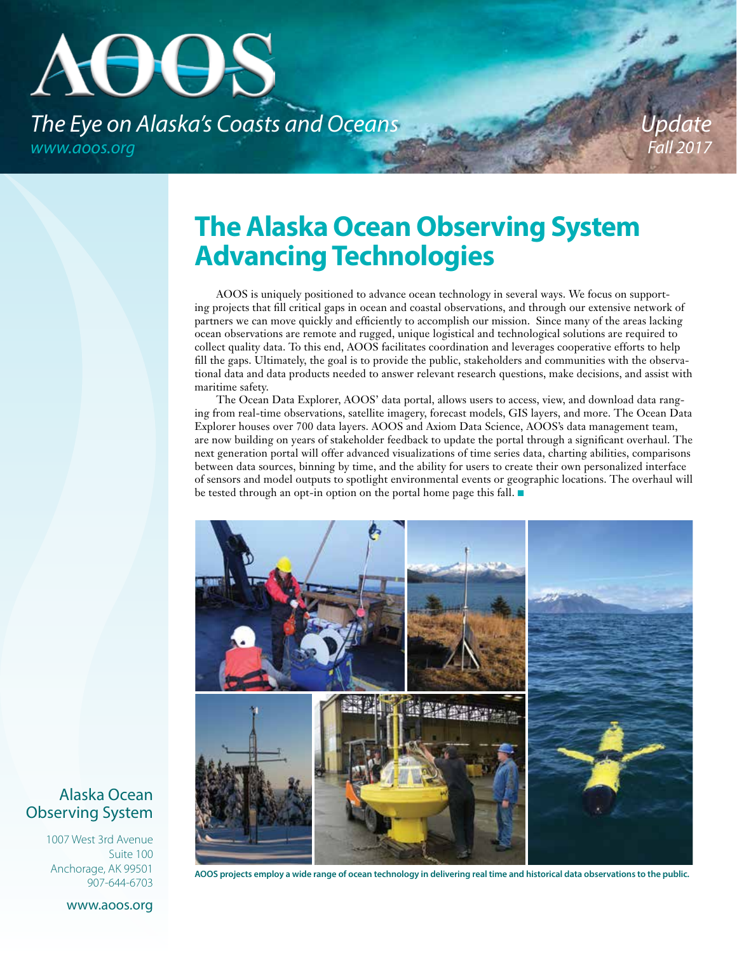# **AUUS** *The Eye on Alaska's Coasts and Oceans www.aoos.org*

*Update Fall 2017*

# **The Alaska Ocean Observing System Advancing Technologies**

AOOS is uniquely positioned to advance ocean technology in several ways. We focus on supporting projects that fill critical gaps in ocean and coastal observations, and through our extensive network of partners we can move quickly and efficiently to accomplish our mission. Since many of the areas lacking ocean observations are remote and rugged, unique logistical and technological solutions are required to collect quality data. To this end, AOOS facilitates coordination and leverages cooperative efforts to help fill the gaps. Ultimately, the goal is to provide the public, stakeholders and communities with the observational data and data products needed to answer relevant research questions, make decisions, and assist with maritime safety.

The Ocean Data Explorer, AOOS' data portal, allows users to access, view, and download data ranging from real-time observations, satellite imagery, forecast models, GIS layers, and more. The Ocean Data Explorer houses over 700 data layers. AOOS and Axiom Data Science, AOOS's data management team, are now building on years of stakeholder feedback to update the portal through a significant overhaul. The next generation portal will offer advanced visualizations of time series data, charting abilities, comparisons between data sources, binning by time, and the ability for users to create their own personalized interface of sensors and model outputs to spotlight environmental events or geographic locations. The overhaul will be tested through an opt-in option on the portal home page this fall.  $\blacksquare$ 



**AOOS projects employ a wide range of ocean technology in delivering real time and historical data observations to the public.**

### Alaska Ocean Observing System

1007 West 3rd Avenue Suite 100 Anchorage, AK 99501 907-644-6703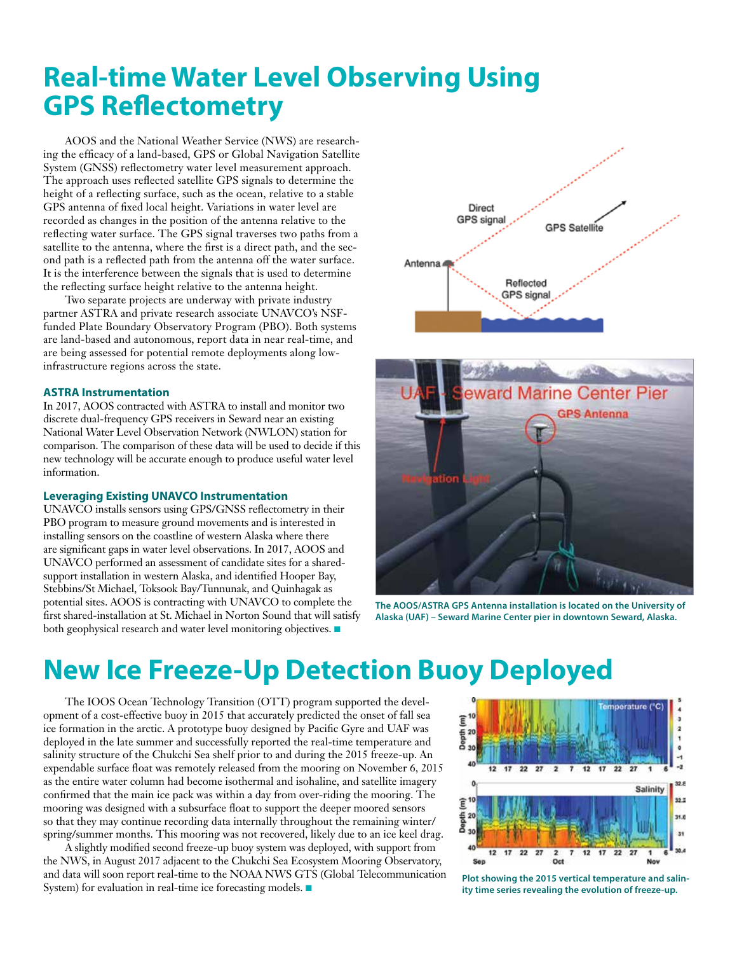# **Real-time Water Level Observing Using GPS Reflectometry**

AOOS and the National Weather Service (NWS) are researching the efficacy of a land-based, GPS or Global Navigation Satellite System (GNSS) reflectometry water level measurement approach. The approach uses reflected satellite GPS signals to determine the height of a reflecting surface, such as the ocean, relative to a stable GPS antenna of fixed local height. Variations in water level are recorded as changes in the position of the antenna relative to the reflecting water surface. The GPS signal traverses two paths from a satellite to the antenna, where the first is a direct path, and the second path is a reflected path from the antenna off the water surface. It is the interference between the signals that is used to determine the reflecting surface height relative to the antenna height.

Two separate projects are underway with private industry partner ASTRA and private research associate UNAVCO's NSFfunded Plate Boundary Observatory Program (PBO). Both systems are land-based and autonomous, report data in near real-time, and are being assessed for potential remote deployments along lowinfrastructure regions across the state.

#### **ASTRA Instrumentation**

In 2017, AOOS contracted with ASTRA to install and monitor two discrete dual-frequency GPS receivers in Seward near an existing National Water Level Observation Network (NWLON) station for comparison. The comparison of these data will be used to decide if this new technology will be accurate enough to produce useful water level information.

#### **Leveraging Existing UNAVCO Instrumentation**

UNAVCO installs sensors using GPS/GNSS reflectometry in their PBO program to measure ground movements and is interested in installing sensors on the coastline of western Alaska where there are significant gaps in water level observations. In 2017, AOOS and UNAVCO performed an assessment of candidate sites for a sharedsupport installation in western Alaska, and identified Hooper Bay, Stebbins/St Michael, Toksook Bay/Tunnunak, and Quinhagak as potential sites. AOOS is contracting with UNAVCO to complete the first shared-installation at St. Michael in Norton Sound that will satisfy both geophysical research and water level monitoring objectives.





**The AOOS/ASTRA GPS Antenna installation is located on the University of Alaska (UAF) – Seward Marine Center pier in downtown Seward, Alaska.**

# **New Ice Freeze-Up Detection Buoy Deployed**

The IOOS Ocean Technology Transition (OTT) program supported the development of a cost-effective buoy in 2015 that accurately predicted the onset of fall sea ice formation in the arctic. A prototype buoy designed by Pacific Gyre and UAF was deployed in the late summer and successfully reported the real-time temperature and salinity structure of the Chukchi Sea shelf prior to and during the 2015 freeze-up. An expendable surface float was remotely released from the mooring on November 6, 2015 as the entire water column had become isothermal and isohaline, and satellite imagery confirmed that the main ice pack was within a day from over-riding the mooring. The mooring was designed with a subsurface float to support the deeper moored sensors so that they may continue recording data internally throughout the remaining winter/ spring/summer months. This mooring was not recovered, likely due to an ice keel drag.

A slightly modified second freeze-up buoy system was deployed, with support from the NWS, in August 2017 adjacent to the Chukchi Sea Ecosystem Mooring Observatory, and data will soon report real-time to the NOAA NWS GTS (Global Telecommunication System) for evaluation in real-time ice forecasting models.  $\blacksquare$ 



**Plot showing the 2015 vertical temperature and salinity time series revealing the evolution of freeze-up.**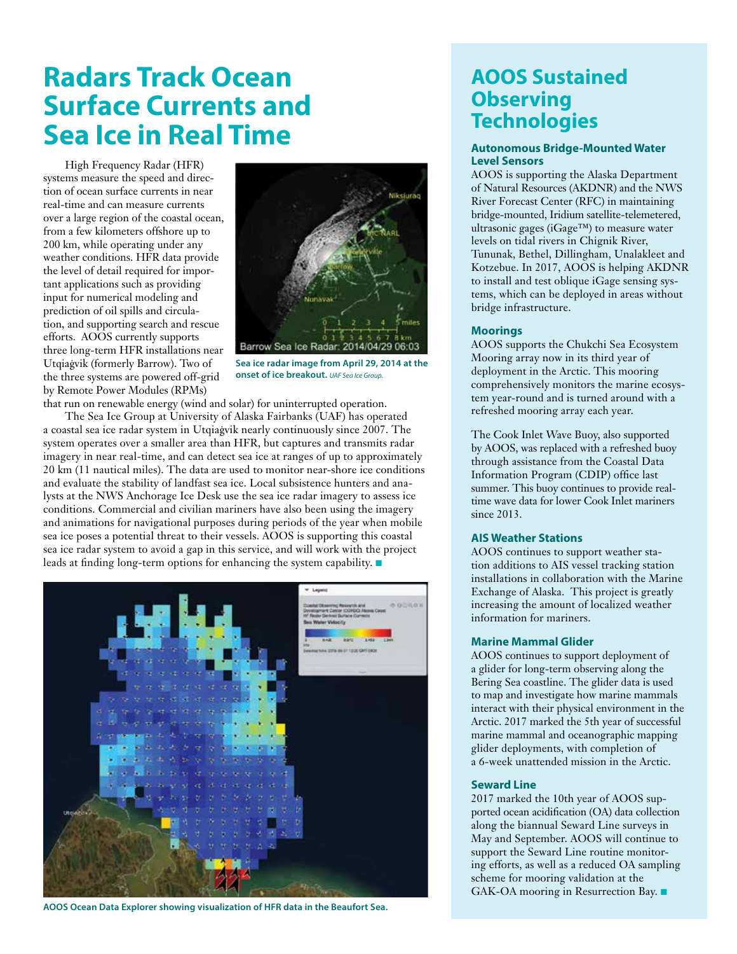# **Radars Track Ocean Surface Currents and Sea Ice in Real Time**

High Frequency Radar (HFR) systems measure the speed and direction of ocean surface currents in near real-time and can measure currents over a large region of the coastal ocean, from a few kilometers offshore up to 200 km, while operating under any weather conditions. HFR data provide the level of detail required for important applications such as providing input for numerical modeling and prediction of oil spills and circulation, and supporting search and rescue efforts. AOOS currently supports three long-term HFR installations near Utqiaġvik (formerly Barrow). Two of the three systems are powered off-grid by Remote Power Modules (RPMs)



**Sea ice radar image from April 29, 2014 at the onset of ice breakout.** *UAF Sea Ice Group.* 

that run on renewable energy (wind and solar) for uninterrupted operation.

The Sea Ice Group at University of Alaska Fairbanks (UAF) has operated a coastal sea ice radar system in Utqiaġvik nearly continuously since 2007. The system operates over a smaller area than HFR, but captures and transmits radar imagery in near real-time, and can detect sea ice at ranges of up to approximately 20 km (11 nautical miles). The data are used to monitor near-shore ice conditions and evaluate the stability of landfast sea ice. Local subsistence hunters and analysts at the NWS Anchorage Ice Desk use the sea ice radar imagery to assess ice conditions. Commercial and civilian mariners have also been using the imagery and animations for navigational purposes during periods of the year when mobile sea ice poses a potential threat to their vessels. AOOS is supporting this coastal sea ice radar system to avoid a gap in this service, and will work with the project leads at finding long-term options for enhancing the system capability.  $\blacksquare$ 



**AOOS Ocean Data Explorer showing visualization of HFR data in the Beaufort Sea.**

### **AOOS Sustained Observing Technologies**

#### **Autonomous Bridge-Mounted Water Level Sensors**

AOOS is supporting the Alaska Department of Natural Resources (AKDNR) and the NWS River Forecast Center (RFC) in maintaining bridge-mounted, Iridium satellite-telemetered, ultrasonic gages (iGage™) to measure water levels on tidal rivers in Chignik River, Tununak, Bethel, Dillingham, Unalakleet and Kotzebue. In 2017, AOOS is helping AKDNR to install and test oblique iGage sensing systems, which can be deployed in areas without bridge infrastructure.

#### **Moorings**

AOOS supports the Chukchi Sea Ecosystem Mooring array now in its third year of deployment in the Arctic. This mooring comprehensively monitors the marine ecosystem year-round and is turned around with a refreshed mooring array each year.

The Cook Inlet Wave Buoy, also supported by AOOS, was replaced with a refreshed buoy through assistance from the Coastal Data Information Program (CDIP) office last summer. This buoy continues to provide realtime wave data for lower Cook Inlet mariners since 2013.

#### **AIS Weather Stations**

AOOS continues to support weather station additions to AIS vessel tracking station installations in collaboration with the Marine Exchange of Alaska. This project is greatly increasing the amount of localized weather information for mariners.

#### **Marine Mammal Glider**

AOOS continues to support deployment of a glider for long-term observing along the Bering Sea coastline. The glider data is used to map and investigate how marine mammals interact with their physical environment in the Arctic. 2017 marked the 5th year of successful marine mammal and oceanographic mapping glider deployments, with completion of a 6-week unattended mission in the Arctic.

#### **Seward Line**

2017 marked the 10th year of AOOS supported ocean acidification (OA) data collection along the biannual Seward Line surveys in May and September. AOOS will continue to support the Seward Line routine monitoring efforts, as well as a reduced OA sampling scheme for mooring validation at the GAK-OA mooring in Resurrection Bay.  $\blacksquare$